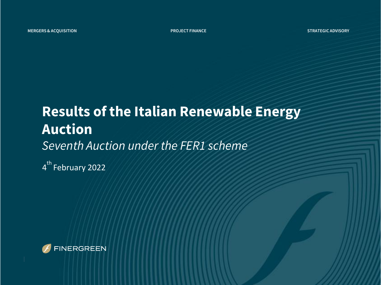### **Results of the Italian Renewable Energy Auction** *Seventh Auction under the FER1 scheme*

4<sup>th</sup> February 2022

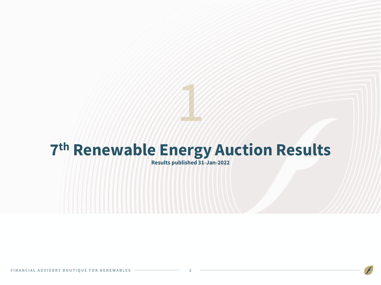# **7 th Renewable Energy Auction Results**

**Results published 31-Jan-2022**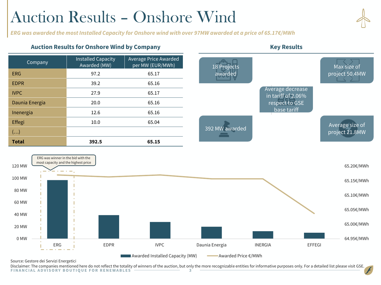# Auction Results – Onshore Wind

*ERG was awarded the most Installed Capacity for Onshore wind with over 97MW awarded at a price of 65.17€/MWh*

#### Auction Results for Onshore Wind by Company **Key Results Key Results**

| Company               | <b>Installed Capacity</b><br>Awarded (MW) | Average Price Awarded<br>per MW (EUR/MWh) |
|-----------------------|-------------------------------------------|-------------------------------------------|
| ERG                   | 97.2                                      | 65.17                                     |
| <b>EDPR</b>           | 39.2                                      | 65.16                                     |
| <b>IVPC</b>           | 27.9                                      | 65.17                                     |
| Daunia Energia        | 20.0                                      | 65.16                                     |
| Inenergia             | 12.6                                      | 65.16                                     |
| Effegi                | 10.0                                      | 65.04                                     |
| $\left(\ldots\right)$ |                                           |                                           |
| <b>Total</b>          | 392.5                                     | 65.15                                     |



Source: Gestore dei Servizi Energetici

Disclaimer: The companies mentioned here do not reflect the totality of winners of the auction, but only the more recognizable entities for informative purposes only. For a detailed list please visit GSE.<br>FINANCIAL ADVISOR

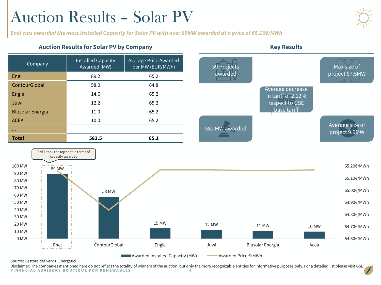# Auction Results – Solar PV

*Enel was awarded the most Installed Capacity for Solar PV with over 89MW awarded at a price of 65.16€/MWh*

### Auction Results for Solar PV by Company **Key Results Key Results**



Source: Gestore dei Servizi Energetici

0 MW 10 MW 20 MW 30 MW 40 MW 50 MW

Disclaimer: The companies mentioned here do not reflect the totality of winners of the auction, but only the more recognizable entities for informative purposes only. For a detailed list please visit GSE.<br>FINANCIAL ADVISOR

**EXECUTE: Awarded Installed Capacity (MW)** Awarded Price €/MWh

Enel ContourGlobal Engie Juwi Blusolar Energia Acea

15 MW 12 MW 11 MW 10 MW



64.60€/MWh

64.70€/MWh

64.80€/MWh

64.90€/MWh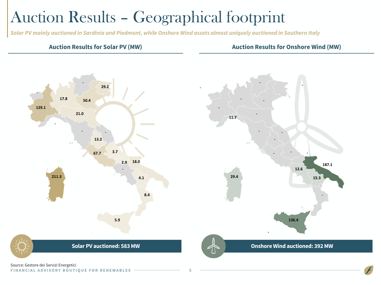# Auction Results – Geographical footprint

*Solar PV mainly auctioned in Sardinia and Piedmont, while Onshore Wind assets almost uniquely auctioned in Southern Italy* 

#### **Auction Results for Solar PV (MW) Auction Results for Onshore Wind (MW)**



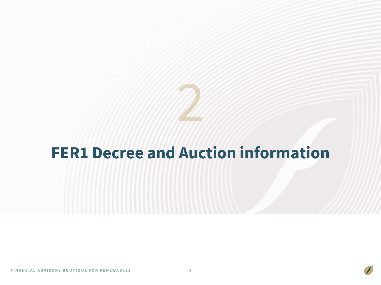

### **FER1 Decree and Auction information**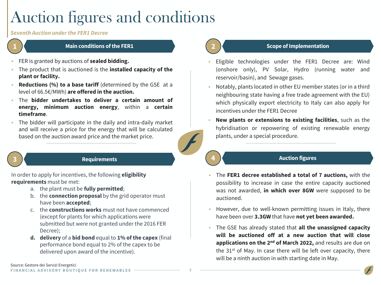# Auction figures and conditions

#### *Seventh Auction underthe FER1 Decree*



- FER is granted by auctions of **sealed bidding.**
- The product that is auctioned is the **installed capacity of the plant or facility.**
- **Reductions (%) to a base tariff** (determined by the GSE at a level of 66.5€/MWh) **are offered in the auction.**
- The **bidder undertakes to deliver a certain amount of energy, minimum auction energy**, within a **certain timeframe**.
- The bidder will participate in the daily and intra-daily market and will receive a price for the energy that will be calculated based on the auction award price and the market price.

#### **3 Requirements**

In order to apply for incentives, the following **eligibility requirements** must be met:

- a. the plant must be **fully permitted**;
- b. the **connection proposal** by the grid operator must have been **accepted**;
- c. the **constructions works** must not have commenced (except for plants for which applications were submitted but were not granted under the 2016 FER Decree);
- **d. delivery** of a **bid bond** equal to **1% of the capex** (final performance bond equal to 2% of the capex to be delivered upon award of the incentive).

### **2 Scope of Implementation**

- Eligible technologies under the FER1 Decree are: Wind (onshore only), PV Solar, Hydro (running water and reservoir/basin), and Sewage gases.
- Notably, plants located in other EU member states (or in a third neighbouring state having a free trade agreement with the EU) which physically export electricity to Italy can also apply for incentives under the FER1 Decree
- **New plants or extensions to existing facilities**, such as the hybridisation or repowering of existing renewable energy plants, under a special procedure.

### **4 Auction figures**

- The **FER1 decree established a total of 7 auctions,** with the possibility to increase in case the entire capacity auctioned was not awarded, **in which over 8GW** were supposed to be auctioned.
- However, due to well-known permitting issues in Italy, there have been over **3.3GW** that have **not yet been awarded.**
- The GSE has already stated that **all the unassigned capacity will be auctioned off at a new auction that will close applications on the 2<sup>nd</sup> of March 2022,** and results are due on the 31<sup>st</sup> of May. In case there will be left over capacity, there will be a ninth auction in with starting date in May.

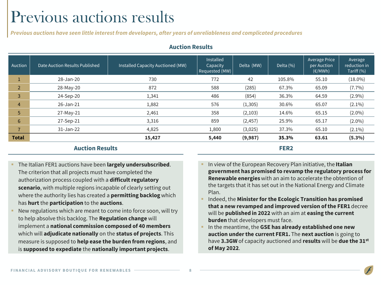### Previous auctions results

*Previous auctions have seen little interestfrom developers, after years of unreliableness and complicated procedures*

| Auction        | Date Auction Results Published | Installed Capacity Auctioned (MW) | Installed<br>Capacity<br>Requested (MW) | Delta (MW) | Delta (%)        | Average Price<br>per Auction<br>$(\epsilon/MWh)$ | Average<br>reduction in<br>Tariff (%) |
|----------------|--------------------------------|-----------------------------------|-----------------------------------------|------------|------------------|--------------------------------------------------|---------------------------------------|
| J.             | 28-Jan-20                      | 730                               | 772                                     | 42         | 105.8%           | 55.10                                            | $(18.0\%)$                            |
| $\overline{2}$ | 28-May-20                      | 872                               | 588                                     | (285)      | 67.3%            | 65.09                                            | $(7.7\%)$                             |
| 3              | 24-Sep-20                      | 1,341                             | 486                                     | (854)      | 36.3%            | 64.59                                            | $(2.9\%)$                             |
| $\overline{4}$ | 26-Jan-21                      | 1,882                             | 576                                     | (1, 305)   | 30.6%            | 65.07                                            | $(2.1\%)$                             |
| 5              | $27-May-21$                    | 2,461                             | 358                                     | (2, 103)   | 14.6%            | 65.15                                            | $(2.0\%)$                             |
| 6              | 27-Sep-21                      | 3,316                             | 859                                     | (2, 457)   | 25.9%            | 65.17                                            | $(2.0\%)$                             |
| $\overline{7}$ | $31 - Jan-22$                  | 4,825                             | 1,800                                   | (3,025)    | 37.3%            | 65.10                                            | $(2.1\%)$                             |
| <b>Total</b>   |                                | 15,427                            | 5,440                                   | (9,987)    | 35.3%            | 63.61                                            | $(5.3\%)$                             |
|                | <b>Auction Results</b>         |                                   |                                         |            | FER <sub>2</sub> |                                                  |                                       |

#### **Auction Results**

#### **Auction Results**

- The Italian FER1 auctions have been **largely undersubscribed**. The criterion that all projects must have completed the authorization process coupled with a **difficult regulatory scenario**, with multiple regions incapable of clearly setting out where the authority lies has created a **permitting backlog** which has **hurt** the **participation** to the **auctions**.
- New regulations which are meant to come into force soon, will try to help absolve this backlog. The **Regulation change** will implement a **national commission composed of 40 members**  which will **adjudicate nationally** on the **status of projects**. This measure is supposed to **help ease the burden from regions**, and is **supposed to expediate** the **nationally important projects**.
- In view of the European Recovery Plan initiative, the Italian **government has promised to revamp the regulatory process for Renewable energies** with an aim to accelerate the obtention of the targets that it has set out in the National Energy and Climate Plan.
- Indeed, the **Minister for the Ecologic Transition has promised that a new revamped and improved version of the FER1** decree will be **published in 2022** with an aim at **easing the current burden** that developers must face.
- In the meantime, the GSE has already established one new **auction under the current FER1.** The **next auction** is going to have **3.3GW** of capacity auctioned and **results** will be **due the 31st of May 2022**.

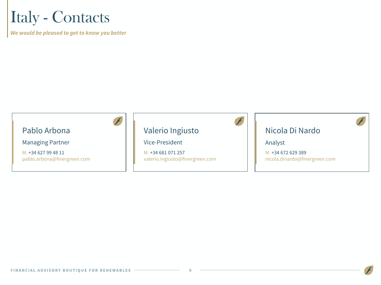### Italy - Contacts

*We would be pleased to get to know you better*

### Pablo Arbona

Managing Partner

M. +34 627 99 48 11 pablo.arbona@finergreen.com

### Valerio Ingiusto

### Vice-President

M. +34 681 071 257 valerio.ingiusto@finergreen.com

### Nicola Di Nardo

#### Analyst

M. +34 672 629 389 nicola.dinardo@finergreen.com

a